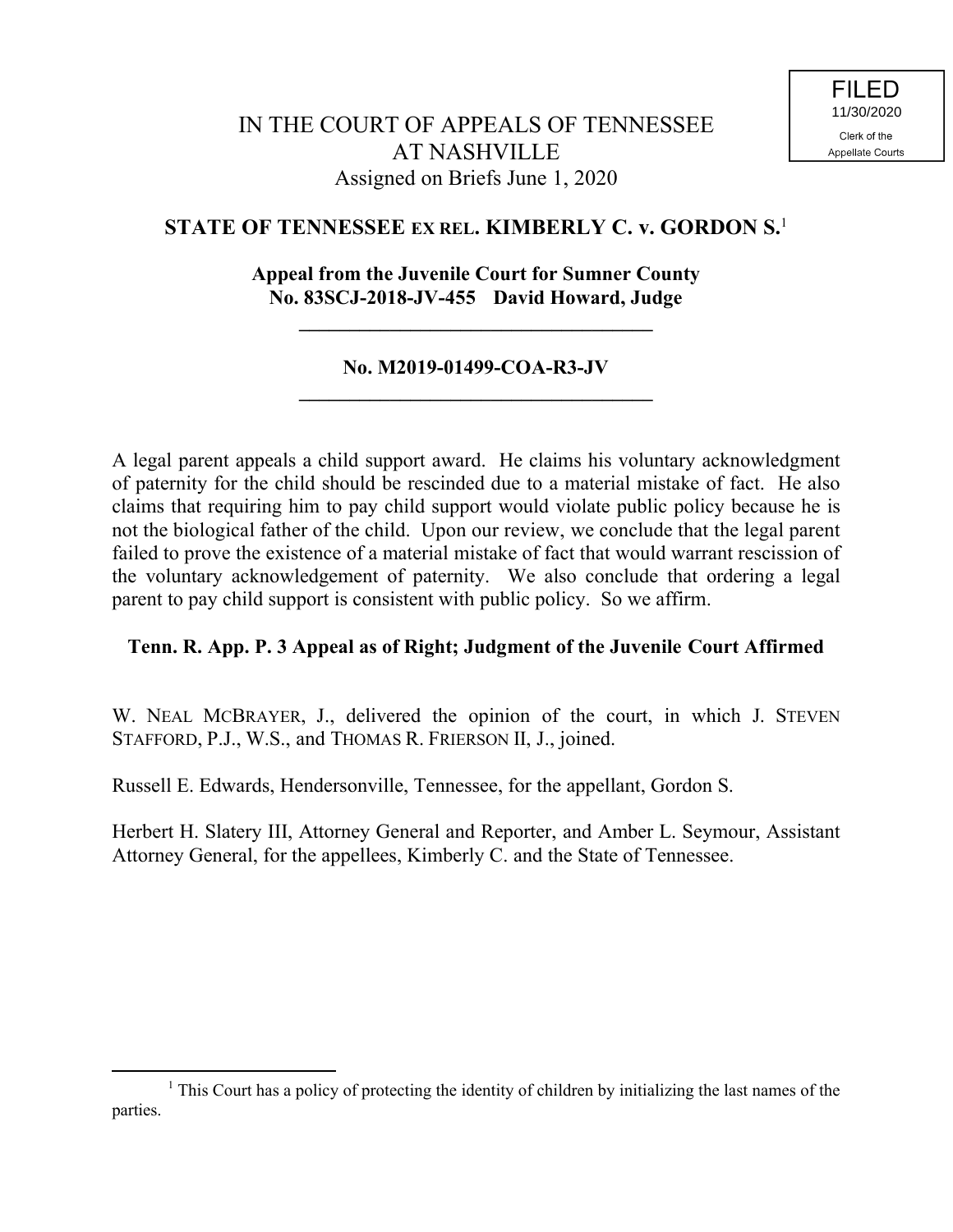# **STATE OF TENNESSEE EX REL. KIMBERLY C. v. GORDON S.** 1

## **Appeal from the Juvenile Court for Sumner County No. 83SCJ-2018-JV-455 David Howard, Judge**

**\_\_\_\_\_\_\_\_\_\_\_\_\_\_\_\_\_\_\_\_\_\_\_\_\_\_\_\_\_\_\_\_\_\_\_**

## **No. M2019-01499-COA-R3-JV \_\_\_\_\_\_\_\_\_\_\_\_\_\_\_\_\_\_\_\_\_\_\_\_\_\_\_\_\_\_\_\_\_\_\_**

A legal parent appeals a child support award. He claims his voluntary acknowledgment of paternity for the child should be rescinded due to a material mistake of fact. He also claims that requiring him to pay child support would violate public policy because he is not the biological father of the child. Upon our review, we conclude that the legal parent failed to prove the existence of a material mistake of fact that would warrant rescission of the voluntary acknowledgement of paternity. We also conclude that ordering a legal parent to pay child support is consistent with public policy. So we affirm.

## **Tenn. R. App. P. 3 Appeal as of Right; Judgment of the Juvenile Court Affirmed**

W. NEAL MCBRAYER, J., delivered the opinion of the court, in which J. STEVEN STAFFORD, P.J., W.S., and THOMAS R. FRIERSON II, J., joined.

Russell E. Edwards, Hendersonville, Tennessee, for the appellant, Gordon S.

 $\overline{a}$ 

Herbert H. Slatery III, Attorney General and Reporter, and Amber L. Seymour, Assistant Attorney General, for the appellees, Kimberly C. and the State of Tennessee.

 $<sup>1</sup>$  This Court has a policy of protecting the identity of children by initializing the last names of the</sup> parties.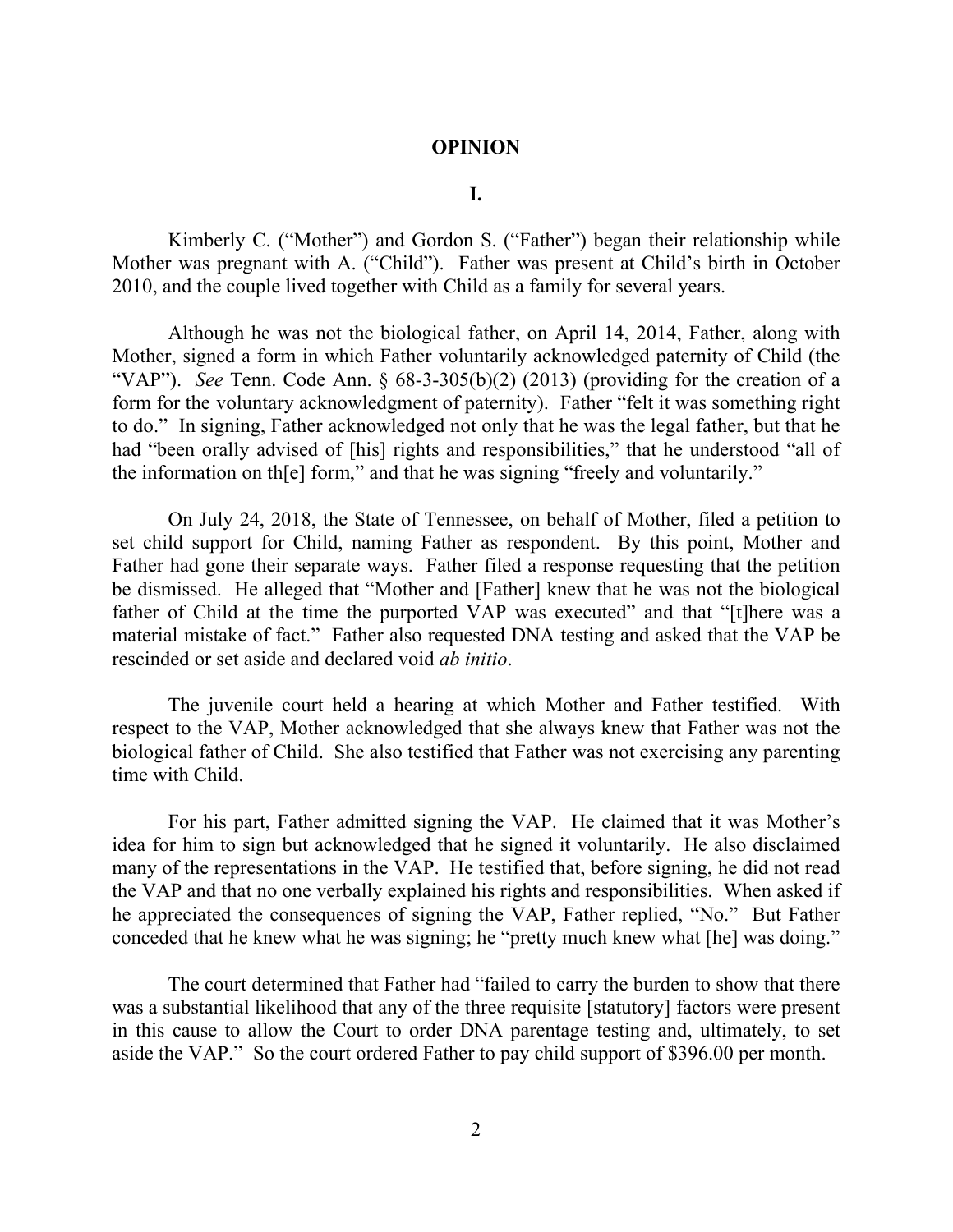### **OPINION**

#### **I.**

Kimberly C. ("Mother") and Gordon S. ("Father") began their relationship while Mother was pregnant with A. ("Child"). Father was present at Child's birth in October 2010, and the couple lived together with Child as a family for several years.

Although he was not the biological father, on April 14, 2014, Father, along with Mother, signed a form in which Father voluntarily acknowledged paternity of Child (the "VAP"). *See* Tenn. Code Ann. § 68-3-305(b)(2) (2013) (providing for the creation of a form for the voluntary acknowledgment of paternity). Father "felt it was something right to do." In signing, Father acknowledged not only that he was the legal father, but that he had "been orally advised of [his] rights and responsibilities," that he understood "all of the information on th[e] form," and that he was signing "freely and voluntarily."

On July 24, 2018, the State of Tennessee, on behalf of Mother, filed a petition to set child support for Child, naming Father as respondent. By this point, Mother and Father had gone their separate ways. Father filed a response requesting that the petition be dismissed. He alleged that "Mother and [Father] knew that he was not the biological father of Child at the time the purported VAP was executed" and that "[t]here was a material mistake of fact." Father also requested DNA testing and asked that the VAP be rescinded or set aside and declared void *ab initio*.

The juvenile court held a hearing at which Mother and Father testified. With respect to the VAP, Mother acknowledged that she always knew that Father was not the biological father of Child. She also testified that Father was not exercising any parenting time with Child.

For his part, Father admitted signing the VAP. He claimed that it was Mother's idea for him to sign but acknowledged that he signed it voluntarily. He also disclaimed many of the representations in the VAP. He testified that, before signing, he did not read the VAP and that no one verbally explained his rights and responsibilities. When asked if he appreciated the consequences of signing the VAP, Father replied, "No." But Father conceded that he knew what he was signing; he "pretty much knew what [he] was doing."

The court determined that Father had "failed to carry the burden to show that there was a substantial likelihood that any of the three requisite [statutory] factors were present in this cause to allow the Court to order DNA parentage testing and, ultimately, to set aside the VAP." So the court ordered Father to pay child support of \$396.00 per month.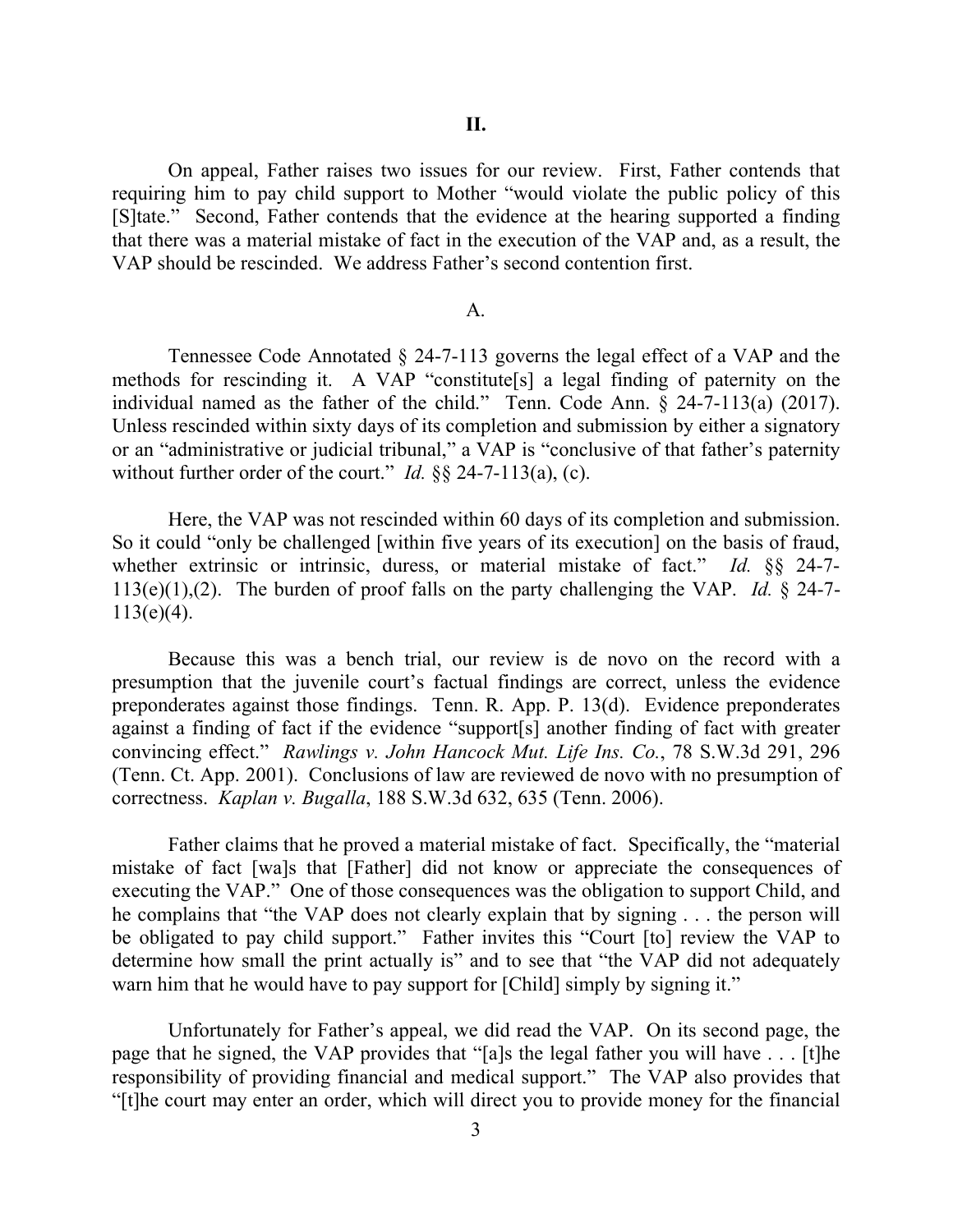On appeal, Father raises two issues for our review. First, Father contends that requiring him to pay child support to Mother "would violate the public policy of this [S]tate." Second, Father contends that the evidence at the hearing supported a finding that there was a material mistake of fact in the execution of the VAP and, as a result, the VAP should be rescinded. We address Father's second contention first.

#### A.

Tennessee Code Annotated § 24-7-113 governs the legal effect of a VAP and the methods for rescinding it. A VAP "constitute[s] a legal finding of paternity on the individual named as the father of the child." Tenn. Code Ann.  $\tilde{\S}$  24-7-113(a) (2017). Unless rescinded within sixty days of its completion and submission by either a signatory or an "administrative or judicial tribunal," a VAP is "conclusive of that father's paternity without further order of the court." *Id.* §§ 24-7-113(a), (c).

Here, the VAP was not rescinded within 60 days of its completion and submission. So it could "only be challenged [within five years of its execution] on the basis of fraud, whether extrinsic or intrinsic, duress, or material mistake of fact." *Id.* §§ 24-7- 113(e)(1),(2). The burden of proof falls on the party challenging the VAP. *Id.* § 24-7-  $113(e)(4)$ .

Because this was a bench trial, our review is de novo on the record with a presumption that the juvenile court's factual findings are correct, unless the evidence preponderates against those findings. Tenn. R. App. P. 13(d). Evidence preponderates against a finding of fact if the evidence "support[s] another finding of fact with greater convincing effect." *Rawlings v. John Hancock Mut. Life Ins. Co.*, 78 S.W.3d 291, 296 (Tenn. Ct. App. 2001). Conclusions of law are reviewed de novo with no presumption of correctness. *Kaplan v. Bugalla*, 188 S.W.3d 632, 635 (Tenn. 2006).

Father claims that he proved a material mistake of fact. Specifically, the "material mistake of fact [wa]s that [Father] did not know or appreciate the consequences of executing the VAP." One of those consequences was the obligation to support Child, and he complains that "the VAP does not clearly explain that by signing . . . the person will be obligated to pay child support." Father invites this "Court [to] review the VAP to determine how small the print actually is" and to see that "the VAP did not adequately warn him that he would have to pay support for [Child] simply by signing it."

Unfortunately for Father's appeal, we did read the VAP. On its second page, the page that he signed, the VAP provides that "[a]s the legal father you will have . . . [t]he responsibility of providing financial and medical support." The VAP also provides that "[t]he court may enter an order, which will direct you to provide money for the financial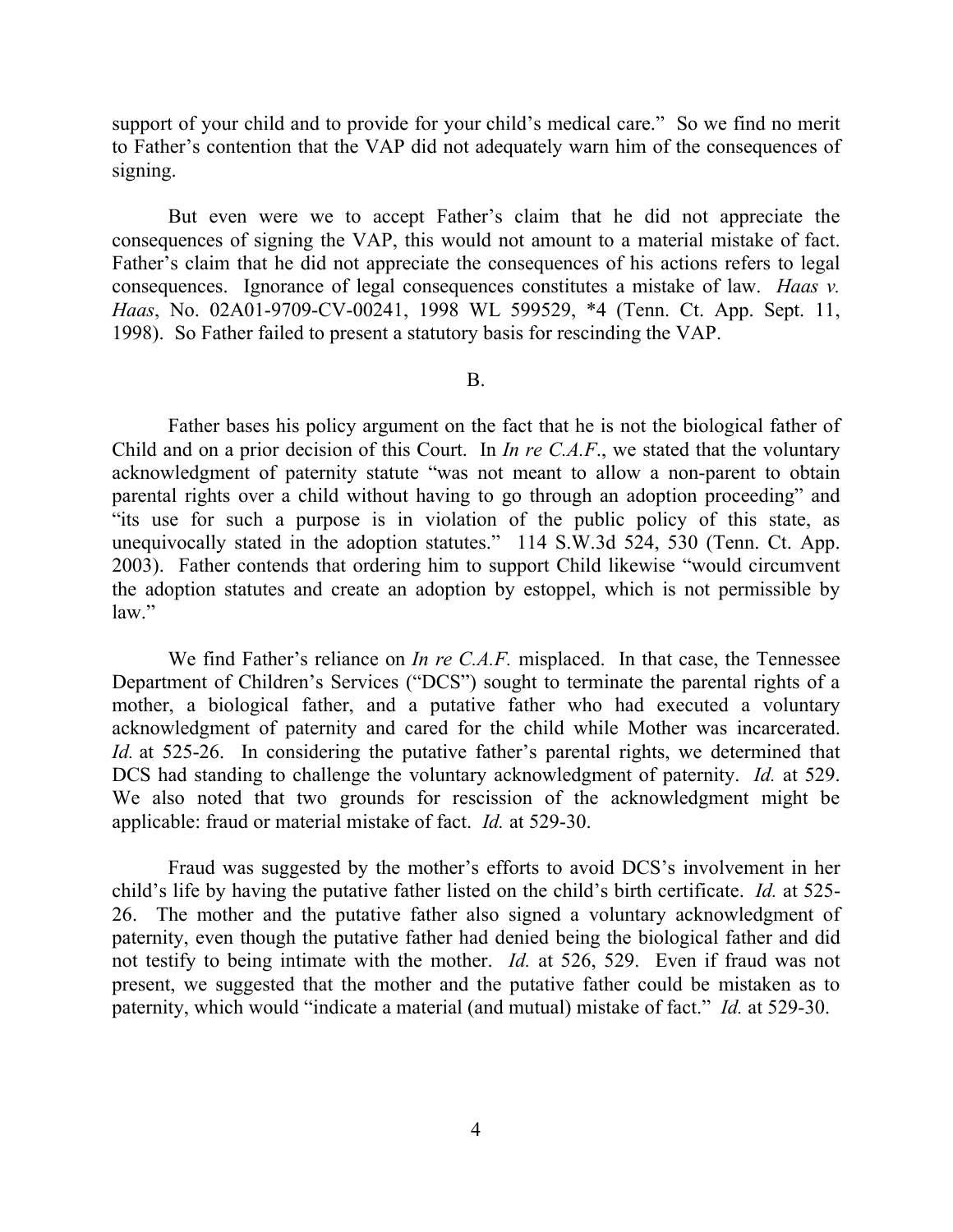support of your child and to provide for your child's medical care." So we find no merit to Father's contention that the VAP did not adequately warn him of the consequences of signing.

But even were we to accept Father's claim that he did not appreciate the consequences of signing the VAP, this would not amount to a material mistake of fact. Father's claim that he did not appreciate the consequences of his actions refers to legal consequences. Ignorance of legal consequences constitutes a mistake of law. *Haas v. Haas*, No. 02A01-9709-CV-00241, 1998 WL 599529, \*4 (Tenn. Ct. App. Sept. 11, 1998). So Father failed to present a statutory basis for rescinding the VAP.

B.

Father bases his policy argument on the fact that he is not the biological father of Child and on a prior decision of this Court. In *In re C.A.F*., we stated that the voluntary acknowledgment of paternity statute "was not meant to allow a non-parent to obtain parental rights over a child without having to go through an adoption proceeding" and "its use for such a purpose is in violation of the public policy of this state, as unequivocally stated in the adoption statutes." 114 S.W.3d 524, 530 (Tenn. Ct. App. 2003). Father contends that ordering him to support Child likewise "would circumvent the adoption statutes and create an adoption by estoppel, which is not permissible by law."

We find Father's reliance on *In re C.A.F.* misplaced. In that case, the Tennessee Department of Children's Services ("DCS") sought to terminate the parental rights of a mother, a biological father, and a putative father who had executed a voluntary acknowledgment of paternity and cared for the child while Mother was incarcerated. *Id.* at 525-26. In considering the putative father's parental rights, we determined that DCS had standing to challenge the voluntary acknowledgment of paternity. *Id.* at 529. We also noted that two grounds for rescission of the acknowledgment might be applicable: fraud or material mistake of fact. *Id.* at 529-30.

Fraud was suggested by the mother's efforts to avoid DCS's involvement in her child's life by having the putative father listed on the child's birth certificate. *Id.* at 525- 26. The mother and the putative father also signed a voluntary acknowledgment of paternity, even though the putative father had denied being the biological father and did not testify to being intimate with the mother. *Id.* at 526, 529. Even if fraud was not present, we suggested that the mother and the putative father could be mistaken as to paternity, which would "indicate a material (and mutual) mistake of fact." *Id.* at 529-30.